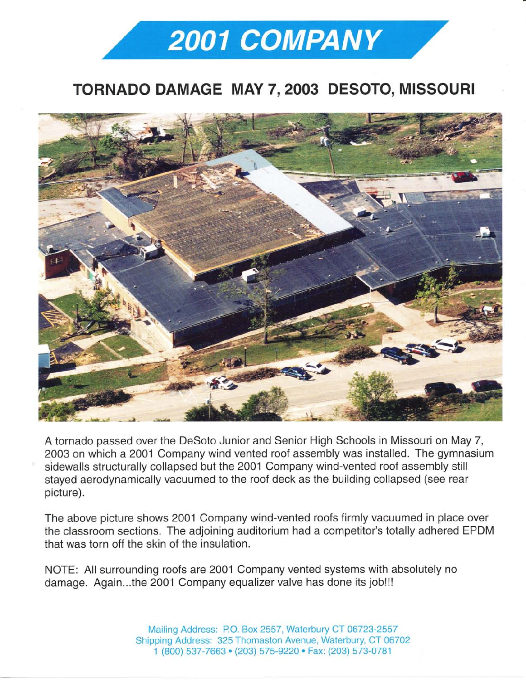## 2001 COMPANY

## TORNADO DAMAGE MAY 7,2003 DESOTO, MISSOURI



A tornado passed over the DeSoto Junior and Senior High Schools in Missouri on May 7, 2003 on which a 2001 Company wind vented roof assembly was installed. The gymnasium sidewalls structurally collapsed but the 2001 Company wind-vented roof assembly still stayed aerodynamically vacuumed to the roof deck as the building collapsed (see rear picture).

The above picture shows 2001 Company wind-vented roofs firmly vacuumed in place over the classroom sections. The adjoining auditorium had a competitor's totally adhered EPDM that was torn off the skin of the insulation

NOTE: All surrounding roofs are 2001 Company vented systems with absolutely no damage. Again...the 2001 Company equalizer valve has done its job!!!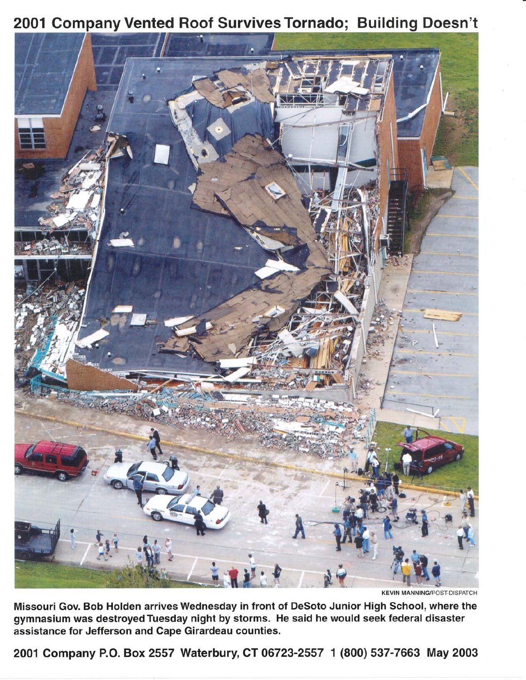



**KEVIN MANNING/POST-DISPATCH** 

Missouri Gov. Bob Holden arrives Wednesday in front of DeSoto Junior High School, where the gymnasium was destroyed Tuesday night by storms. He said he would seek federal disaster assistance for Jefferson and Cape Girardeau counties.

2001 Company P.O.Box2557 Waterbury, CT 06723-2557 1 (800) 537-7663 May 2003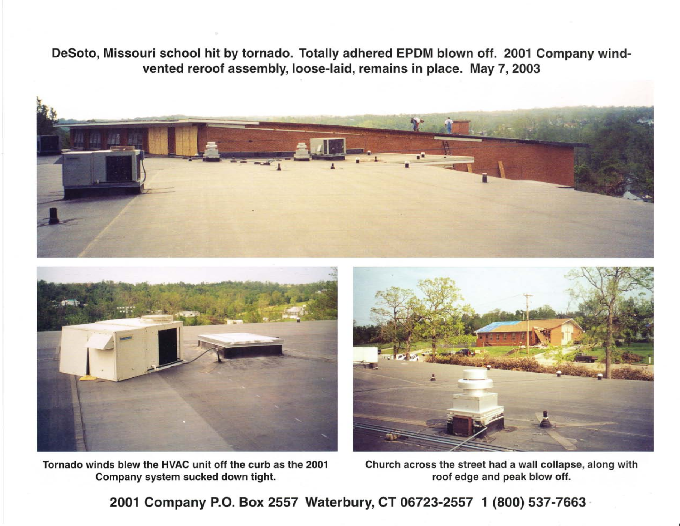DeSoto, Missouri school hit by tornado. Totally adhered EPDM blown off. 2001 Company windvented reroof assembly, loose-laid, remains in place. May 7, 2003



Tornado winds blew the HVAC unit off the curb as the 2001 Company system sucked down tight.

Church across the street had a wall collapse, along with roof edge and peak blow off.

2001 Company P.O. Box 2557 Waterbury, CT 06723-2557 1 (800) 537-7663